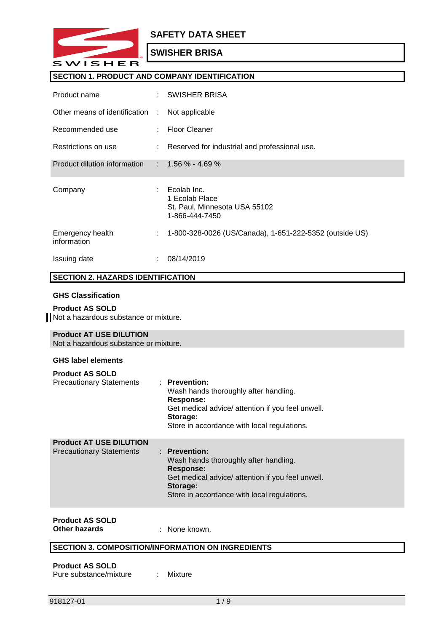

## **SAFETY DATA SHEET**

## **SWISHER BRISA**

### **SECTION 1. PRODUCT AND COMPANY IDENTIFICATION**

| Product name                    |    | $:$ SWISHER BRISA                                                                |
|---------------------------------|----|----------------------------------------------------------------------------------|
| Other means of identification   | ÷. | Not applicable                                                                   |
| Recommended use                 |    | : Floor Cleaner                                                                  |
| Restrictions on use             |    | : Reserved for industrial and professional use.                                  |
| Product dilution information    |    | $: 1.56\% - 4.69\%$                                                              |
| Company                         |    | Ecolab Inc.<br>1 Ecolab Place<br>St. Paul, Minnesota USA 55102<br>1-866-444-7450 |
| Emergency health<br>information | ÷  | 1-800-328-0026 (US/Canada), 1-651-222-5352 (outside US)                          |
| Issuing date                    |    | 08/14/2019                                                                       |

### **SECTION 2. HAZARDS IDENTIFICATION**

#### **GHS Classification**

#### **Product AS SOLD**

Not a hazardous substance or mixture.

#### **Product AT USE DILUTION**

Not a hazardous substance or mixture.

#### **GHS label elements**

| <b>Product AS SOLD</b><br><b>Precautionary Statements</b> | $:$ Prevention:<br>Wash hands thoroughly after handling.<br>Response:<br>Get medical advice/ attention if you feel unwell.<br>Storage:<br>Store in accordance with local regulations. |
|-----------------------------------------------------------|---------------------------------------------------------------------------------------------------------------------------------------------------------------------------------------|
| <b>Product AT USE DILUTION</b>                            |                                                                                                                                                                                       |

| <b>Precautionary Statements</b> | $:$ Prevention:                                   |
|---------------------------------|---------------------------------------------------|
|                                 | Wash hands thoroughly after handling.             |
|                                 | Response:                                         |
|                                 | Get medical advice/ attention if you feel unwell. |
|                                 | Storage:                                          |
|                                 | Store in accordance with local regulations.       |
|                                 |                                                   |

# **Product AS SOLD**

**Other hazards** : None known.

## **SECTION 3. COMPOSITION/INFORMATION ON INGREDIENTS**

#### **Product AS SOLD** Pure substance/mixture : Mixture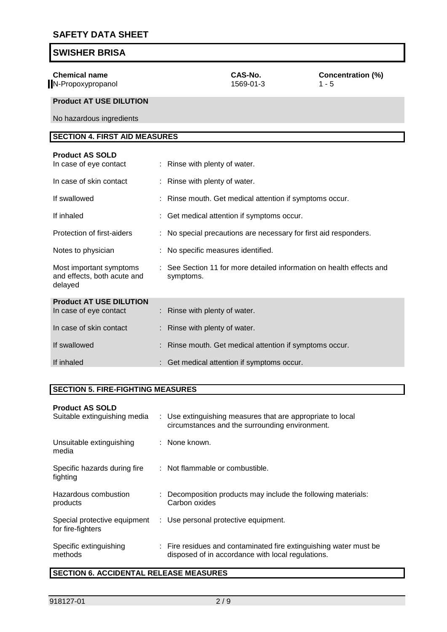**Chemical name CAS-No. CAS-No. CONCENTENT CONCENTENT (%)**<br> **N**-Propoxypropanol **CONCENT CONCENT 1569-01-3** 1-5 N-Propoxypropanol

## **Product AT USE DILUTION**

No hazardous ingredients

## **SECTION 4. FIRST AID MEASURES**

| <b>Product AS SOLD</b>                                            |                                                                                   |  |
|-------------------------------------------------------------------|-----------------------------------------------------------------------------------|--|
| In case of eye contact                                            | : Rinse with plenty of water.                                                     |  |
| In case of skin contact                                           | : Rinse with plenty of water.                                                     |  |
| If swallowed                                                      | : Rinse mouth. Get medical attention if symptoms occur.                           |  |
| If inhaled                                                        | : Get medical attention if symptoms occur.                                        |  |
| Protection of first-aiders                                        | : No special precautions are necessary for first aid responders.                  |  |
| Notes to physician                                                | : No specific measures identified.                                                |  |
| Most important symptoms<br>and effects, both acute and<br>delayed | : See Section 11 for more detailed information on health effects and<br>symptoms. |  |
| <b>Product AT USE DILUTION</b>                                    |                                                                                   |  |
| In case of eye contact                                            | : Rinse with plenty of water.                                                     |  |
| In case of skin contact                                           | : Rinse with plenty of water.                                                     |  |
| If swallowed                                                      | : Rinse mouth. Get medical attention if symptoms occur.                           |  |
| If inhaled                                                        | : Get medical attention if symptoms occur.                                        |  |

### **SECTION 5. FIRE-FIGHTING MEASURES**

#### **Product AS SOLD**

| Suitable extinguishing media                      | : Use extinguishing measures that are appropriate to local<br>circumstances and the surrounding environment.           |
|---------------------------------------------------|------------------------------------------------------------------------------------------------------------------------|
| Unsuitable extinguishing<br>media                 | : None known.                                                                                                          |
| Specific hazards during fire<br>fighting          | : Not flammable or combustible.                                                                                        |
| Hazardous combustion<br>products                  | : Decomposition products may include the following materials:<br>Carbon oxides                                         |
| Special protective equipment<br>for fire-fighters | : Use personal protective equipment.                                                                                   |
| Specific extinguishing<br>methods                 | : Fire residues and contaminated fire extinguishing water must be<br>disposed of in accordance with local regulations. |

## **SECTION 6. ACCIDENTAL RELEASE MEASURES**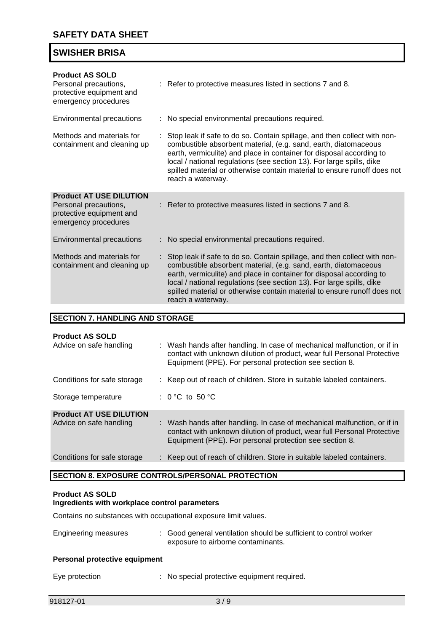| <b>Product AS SOLD</b><br>Personal precautions,<br>protective equipment and<br>emergency procedures         |                                                                                                                                                                                                                                                                                                                                                                                               | : Refer to protective measures listed in sections 7 and 8.                                                                                                                                                                                                                                                                                                                                    |  |
|-------------------------------------------------------------------------------------------------------------|-----------------------------------------------------------------------------------------------------------------------------------------------------------------------------------------------------------------------------------------------------------------------------------------------------------------------------------------------------------------------------------------------|-----------------------------------------------------------------------------------------------------------------------------------------------------------------------------------------------------------------------------------------------------------------------------------------------------------------------------------------------------------------------------------------------|--|
| Environmental precautions                                                                                   |                                                                                                                                                                                                                                                                                                                                                                                               | : No special environmental precautions required.                                                                                                                                                                                                                                                                                                                                              |  |
| Methods and materials for<br>containment and cleaning up                                                    |                                                                                                                                                                                                                                                                                                                                                                                               | Stop leak if safe to do so. Contain spillage, and then collect with non-<br>combustible absorbent material, (e.g. sand, earth, diatomaceous<br>earth, vermiculite) and place in container for disposal according to<br>local / national regulations (see section 13). For large spills, dike<br>spilled material or otherwise contain material to ensure runoff does not<br>reach a waterway. |  |
| <b>Product AT USE DILUTION</b><br>Personal precautions,<br>protective equipment and<br>emergency procedures | Refer to protective measures listed in sections 7 and 8.                                                                                                                                                                                                                                                                                                                                      |                                                                                                                                                                                                                                                                                                                                                                                               |  |
| Environmental precautions                                                                                   |                                                                                                                                                                                                                                                                                                                                                                                               | : No special environmental precautions required.                                                                                                                                                                                                                                                                                                                                              |  |
| Methods and materials for<br>containment and cleaning up                                                    | Stop leak if safe to do so. Contain spillage, and then collect with non-<br>combustible absorbent material, (e.g. sand, earth, diatomaceous<br>earth, vermiculite) and place in container for disposal according to<br>local / national regulations (see section 13). For large spills, dike<br>spilled material or otherwise contain material to ensure runoff does not<br>reach a waterway. |                                                                                                                                                                                                                                                                                                                                                                                               |  |

#### **SECTION 7. HANDLING AND STORAGE**

#### **Product AS SOLD**

| Advice on safe handling                                   | : Wash hands after handling. In case of mechanical malfunction, or if in<br>contact with unknown dilution of product, wear full Personal Protective<br>Equipment (PPE). For personal protection see section 8. |  |
|-----------------------------------------------------------|----------------------------------------------------------------------------------------------------------------------------------------------------------------------------------------------------------------|--|
| Conditions for safe storage                               | : Keep out of reach of children. Store in suitable labeled containers.                                                                                                                                         |  |
| Storage temperature                                       | : $0^{\circ}$ C to 50 $^{\circ}$ C                                                                                                                                                                             |  |
| <b>Product AT USE DILUTION</b><br>Advice on safe handling | : Wash hands after handling. In case of mechanical malfunction, or if in<br>contact with unknown dilution of product, wear full Personal Protective<br>Equipment (PPE). For personal protection see section 8. |  |
| Conditions for safe storage                               | : Keep out of reach of children. Store in suitable labeled containers.                                                                                                                                         |  |

#### **SECTION 8. EXPOSURE CONTROLS/PERSONAL PROTECTION**

#### **Product AS SOLD Ingredients with workplace control parameters**

Contains no substances with occupational exposure limit values.

| Engineering measures | : Good general ventilation should be sufficient to control worker<br>exposure to airborne contaminants. |
|----------------------|---------------------------------------------------------------------------------------------------------|
|                      |                                                                                                         |

#### **Personal protective equipment**

| Eye protection |  | : No special protective equipment required. |  |  |  |
|----------------|--|---------------------------------------------|--|--|--|
|----------------|--|---------------------------------------------|--|--|--|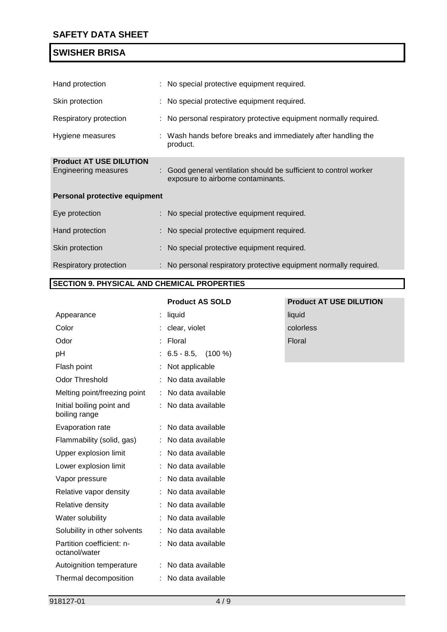| Hand protection                |  | : No special protective equipment required.                                                             |  |
|--------------------------------|--|---------------------------------------------------------------------------------------------------------|--|
| Skin protection                |  | : No special protective equipment required.                                                             |  |
| Respiratory protection         |  | : No personal respiratory protective equipment normally required.                                       |  |
| Hygiene measures               |  | : Wash hands before breaks and immediately after handling the<br>product.                               |  |
| <b>Product AT USE DILUTION</b> |  |                                                                                                         |  |
| Engineering measures           |  | : Good general ventilation should be sufficient to control worker<br>exposure to airborne contaminants. |  |
| Personal protective equipment  |  |                                                                                                         |  |
| Eye protection                 |  | : No special protective equipment required.                                                             |  |
| Hand protection                |  | : No special protective equipment required.                                                             |  |
| Skin protection                |  | : No special protective equipment required.                                                             |  |
| Respiratory protection         |  | : No personal respiratory protective equipment normally required.                                       |  |

## **SECTION 9. PHYSICAL AND CHEMICAL PROPERTIES**

**Product AS SOLD Product AT USE DILUTION**

| Appearance                                 | liquid                  | liquid    |
|--------------------------------------------|-------------------------|-----------|
| Color                                      | clear, violet           | colorless |
| Odor                                       | Floral                  | Floral    |
| рH                                         | $6.5 - 8.5$ , $(100\%)$ |           |
| Flash point                                | Not applicable          |           |
| <b>Odor Threshold</b>                      | No data available       |           |
| Melting point/freezing point               | No data available       |           |
| Initial boiling point and<br>boiling range | No data available       |           |
| Evaporation rate                           | No data available       |           |
| Flammability (solid, gas)                  | No data available       |           |
| Upper explosion limit                      | No data available       |           |
| Lower explosion limit                      | No data available       |           |
| Vapor pressure                             | No data available       |           |
| Relative vapor density                     | No data available       |           |
| Relative density                           | No data available       |           |
| Water solubility                           | No data available       |           |
| Solubility in other solvents               | No data available       |           |
| Partition coefficient: n-<br>octanol/water | No data available       |           |
| Autoignition temperature                   | No data available       |           |
| Thermal decomposition                      | No data available       |           |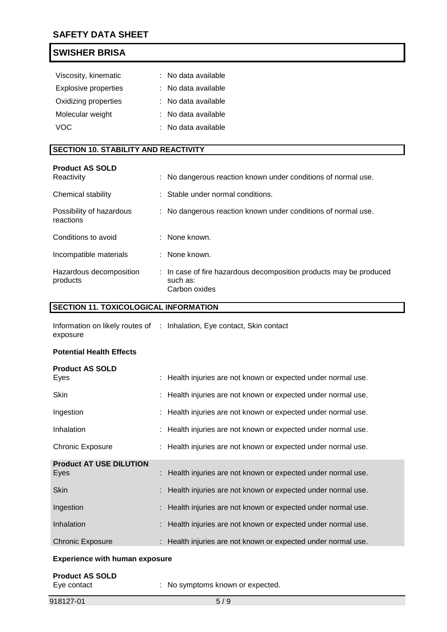| Viscosity, kinematic        | : No data available |
|-----------------------------|---------------------|
| <b>Explosive properties</b> | : No data available |
| Oxidizing properties        | : No data available |
| Molecular weight            | : No data available |
| VOC.                        | : No data available |
|                             |                     |

### **SECTION 10. STABILITY AND REACTIVITY**

| <b>Product AS SOLD</b><br>Reactivity  | : No dangerous reaction known under conditions of normal use.                                   |
|---------------------------------------|-------------------------------------------------------------------------------------------------|
| Chemical stability                    | : Stable under normal conditions.                                                               |
| Possibility of hazardous<br>reactions | : No dangerous reaction known under conditions of normal use.                                   |
| Conditions to avoid                   | $\therefore$ None known.                                                                        |
| Incompatible materials                | : None known.                                                                                   |
| Hazardous decomposition<br>products   | : In case of fire hazardous decomposition products may be produced<br>such as:<br>Carbon oxides |

## **SECTION 11. TOXICOLOGICAL INFORMATION**

|          | Information on likely routes of : Inhalation, Eye contact, Skin contact |
|----------|-------------------------------------------------------------------------|
| exposure |                                                                         |

#### **Potential Health Effects**

| <b>Product AS SOLD</b><br>Eyes         | : Health injuries are not known or expected under normal use. |
|----------------------------------------|---------------------------------------------------------------|
| <b>Skin</b>                            | : Health injuries are not known or expected under normal use. |
| Ingestion                              | : Health injuries are not known or expected under normal use. |
| Inhalation                             | : Health injuries are not known or expected under normal use. |
| Chronic Exposure                       | : Health injuries are not known or expected under normal use. |
| <b>Product AT USE DILUTION</b><br>Eyes | : Health injuries are not known or expected under normal use. |
|                                        |                                                               |
| <b>Skin</b>                            | : Health injuries are not known or expected under normal use. |
| Ingestion                              | : Health injuries are not known or expected under normal use. |
| Inhalation                             | : Health injuries are not known or expected under normal use. |
| <b>Chronic Exposure</b>                | : Health injuries are not known or expected under normal use. |

#### **Experience with human exposure**

| <b>Product AS SOLD</b> |                                  |
|------------------------|----------------------------------|
| Eye contact            | : No symptoms known or expected. |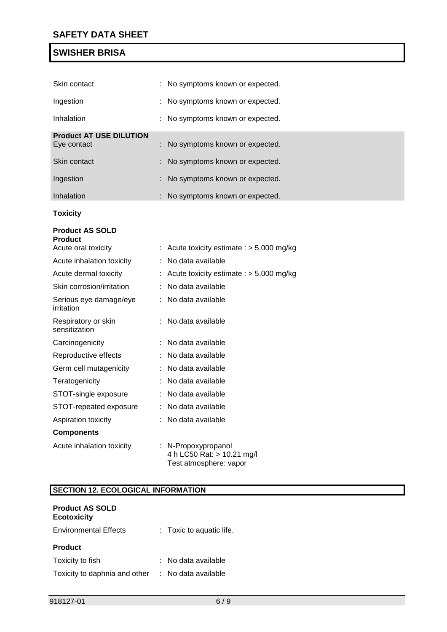| Skin contact                                  | : No symptoms known or expected. |
|-----------------------------------------------|----------------------------------|
| Ingestion                                     | : No symptoms known or expected. |
| Inhalation                                    | : No symptoms known or expected. |
| <b>Product AT USE DILUTION</b><br>Eye contact | : No symptoms known or expected. |
| Skin contact                                  | : No symptoms known or expected. |
| Ingestion                                     | : No symptoms known or expected. |
| Inhalation                                    | : No symptoms known or expected. |

#### **Toxicity**

| <b>Product AS SOLD</b><br><b>Product</b> |                                                                             |
|------------------------------------------|-----------------------------------------------------------------------------|
| Acute oral toxicity                      | Acute toxicity estimate : $> 5,000$ mg/kg                                   |
| Acute inhalation toxicity                | No data available                                                           |
| Acute dermal toxicity                    | Acute toxicity estimate : $> 5,000$ mg/kg                                   |
| Skin corrosion/irritation                | No data available                                                           |
| Serious eye damage/eye<br>irritation     | No data available                                                           |
| Respiratory or skin<br>sensitization     | No data available                                                           |
| Carcinogenicity                          | No data available                                                           |
| Reproductive effects                     | No data available                                                           |
| Germ cell mutagenicity                   | No data available                                                           |
| Teratogenicity                           | No data available                                                           |
| STOT-single exposure                     | No data available                                                           |
| STOT-repeated exposure                   | No data available                                                           |
| Aspiration toxicity                      | No data available                                                           |
| <b>Components</b>                        |                                                                             |
| Acute inhalation toxicity                | : N-Propoxypropanol<br>4 h LC50 Rat: > 10.21 mg/l<br>Test atmosphere: vapor |

## **SECTION 12. ECOLOGICAL INFORMATION**

#### **Product AS SOLD Ecotoxicity**

| <b>Environmental Effects</b>  | $:$ Toxic to aquatic life. |
|-------------------------------|----------------------------|
| <b>Product</b>                |                            |
| Toxicity to fish              | : No data available        |
| Toxicity to daphnia and other | $:$ No data available      |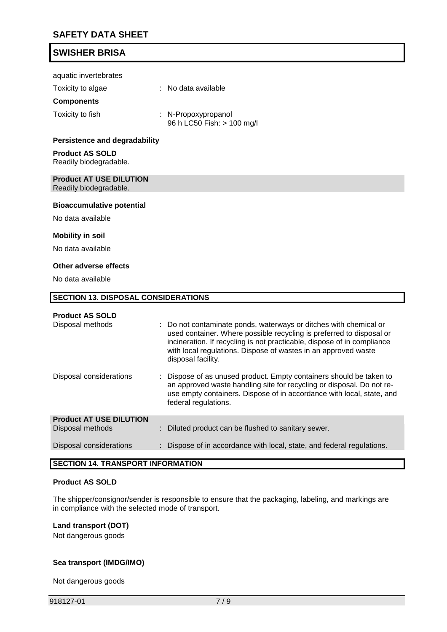| aquatic invertebrates |                                                   |
|-----------------------|---------------------------------------------------|
| Toxicity to algae     | : No data available                               |
| <b>Components</b>     |                                                   |
| Toxicity to fish      | : N-Propoxypropanol<br>96 h LC50 Fish: > 100 mg/l |

#### **Persistence and degradability**

#### **Product AS SOLD** Readily biodegradable.

**Product AT USE DILUTION** Readily biodegradable.

#### **Bioaccumulative potential**

No data available

#### **Mobility in soil**

No data available

#### **Other adverse effects**

No data available

#### **SECTION 13. DISPOSAL CONSIDERATIONS**

## **Product AS SOLD**

| 1100000 AS SOLD                |                                                                                                                                                                                                                                                                                                              |
|--------------------------------|--------------------------------------------------------------------------------------------------------------------------------------------------------------------------------------------------------------------------------------------------------------------------------------------------------------|
| Disposal methods               | : Do not contaminate ponds, waterways or ditches with chemical or<br>used container. Where possible recycling is preferred to disposal or<br>incineration. If recycling is not practicable, dispose of in compliance<br>with local regulations. Dispose of wastes in an approved waste<br>disposal facility. |
| Disposal considerations        | : Dispose of as unused product. Empty containers should be taken to<br>an approved waste handling site for recycling or disposal. Do not re-<br>use empty containers. Dispose of in accordance with local, state, and<br>federal regulations.                                                                |
| <b>Product AT USE DILUTION</b> |                                                                                                                                                                                                                                                                                                              |
| Disposal methods               | : Diluted product can be flushed to sanitary sewer.                                                                                                                                                                                                                                                          |
| Disposal considerations        | : Dispose of in accordance with local, state, and federal regulations.                                                                                                                                                                                                                                       |
|                                |                                                                                                                                                                                                                                                                                                              |

#### **SECTION 14. TRANSPORT INFORMATION**

#### **Product AS SOLD**

The shipper/consignor/sender is responsible to ensure that the packaging, labeling, and markings are in compliance with the selected mode of transport.

#### **Land transport (DOT)**

Not dangerous goods

#### **Sea transport (IMDG/IMO)**

Not dangerous goods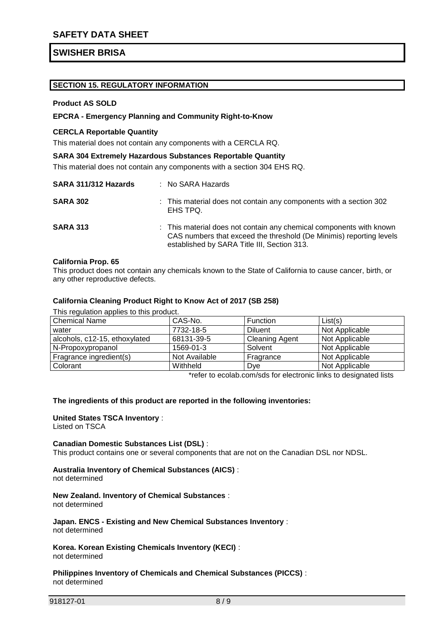#### **SECTION 15. REGULATORY INFORMATION**

#### **Product AS SOLD**

#### **EPCRA - Emergency Planning and Community Right-to-Know**

#### **CERCLA Reportable Quantity**

This material does not contain any components with a CERCLA RQ.

|                      | SARA 304 Extremely Hazardous Substances Reportable Quantity<br>This material does not contain any components with a section 304 EHS RQ. |
|----------------------|-----------------------------------------------------------------------------------------------------------------------------------------|
| SARA 311/312 Hazards | : No SARA Hazards                                                                                                                       |
| <b>SARA 302</b>      | : This material does not contain any components with a section 302<br>EHS TPQ.                                                          |

#### **SARA 313** : This material does not contain any chemical components with known CAS numbers that exceed the threshold (De Minimis) reporting levels established by SARA Title III, Section 313.

#### **California Prop. 65**

This product does not contain any chemicals known to the State of California to cause cancer, birth, or any other reproductive defects.

#### **California Cleaning Product Right to Know Act of 2017 (SB 258)**

This regulation applies to this product.

| l Chemical Name               | CAS-No.       | <b>Function</b>       | List(s)        |
|-------------------------------|---------------|-----------------------|----------------|
| water                         | 7732-18-5     | <b>Diluent</b>        | Not Applicable |
| alcohols, c12-15, ethoxylated | 68131-39-5    | <b>Cleaning Agent</b> | Not Applicable |
| N-Propoxypropanol             | 1569-01-3     | Solvent               | Not Applicable |
| Fragrance ingredient(s)       | Not Available | Fragrance             | Not Applicable |
| Colorant                      | Withheld      | Dye                   | Not Applicable |

\*refer to ecolab.com/sds for electronic links to designated lists

#### **The ingredients of this product are reported in the following inventories:**

#### **United States TSCA Inventory** :

Listed on TSCA

#### **Canadian Domestic Substances List (DSL)** :

This product contains one or several components that are not on the Canadian DSL nor NDSL.

#### **Australia Inventory of Chemical Substances (AICS)** :

not determined

#### **New Zealand. Inventory of Chemical Substances** :

not determined

**Japan. ENCS - Existing and New Chemical Substances Inventory** : not determined

**Korea. Korean Existing Chemicals Inventory (KECI)** : not determined

**Philippines Inventory of Chemicals and Chemical Substances (PICCS)** : not determined